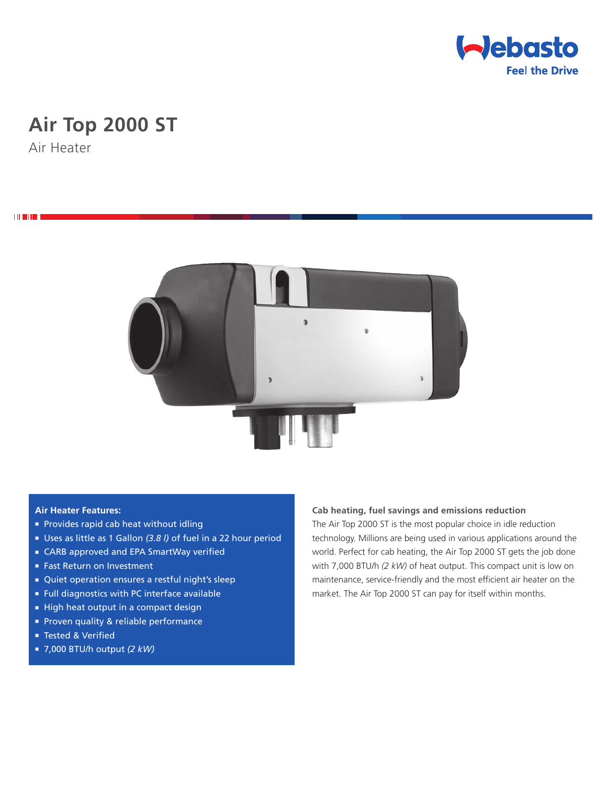

# **Air Top 2000 ST**

Air Heater

**THEFT** 



#### **Air Heater Features:**

- **Provides rapid cab heat without idling**
- Uses as little as 1 Gallon (3.8 l) of fuel in a 22 hour period
- CARB approved and EPA SmartWay verified
- Fast Return on Investment
- <sup>n</sup> Quiet operation ensures a restful night's sleep
- <sup>n</sup> Full diagnostics with PC interface available
- High heat output in a compact design
- **Proven quality & reliable performance**
- Tested & Verified
- <sup>n</sup> 7,000 BTU/h output *(2 kW)*

**Cab heating, fuel savings and emissions reduction**

The Air Top 2000 ST is the most popular choice in idle reduction technology. Millions are being used in various applications around the world. Perfect for cab heating, the Air Top 2000 ST gets the job done with 7,000 BTU/h *(2 kW)* of heat output. This compact unit is low on maintenance, service-friendly and the most efficient air heater on the market. The Air Top 2000 ST can pay for itself within months.